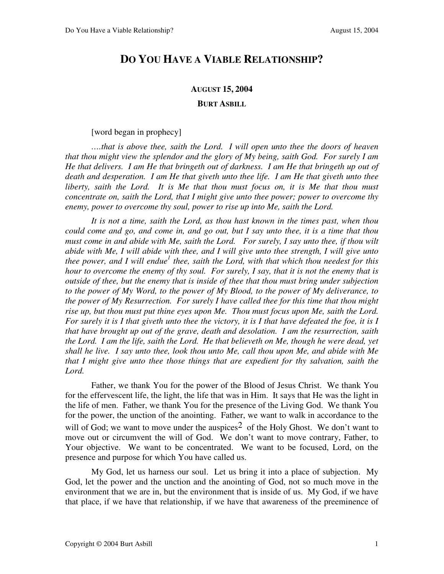## **DO YOU HAVE A VIABLE RELATIONSHIP?**

## **AUGUST 15, 2004**

**BURT ASBILL**

[word began in prophecy]

*….that is above thee, saith the Lord. I will open unto thee the doors of heaven that thou might view the splendor and the glory of My being, saith God. For surely I am He that delivers. I am He that bringeth out of darkness. I am He that bringeth up out of death and desperation. I am He that giveth unto thee life. I am He that giveth unto thee liberty, saith the Lord. It is Me that thou must focus on, it is Me that thou must concentrate on, saith the Lord, that I might give unto thee power; power to overcome thy enemy, power to overcome thy soul, power to rise up into Me, saith the Lord.* 

*It is not a time, saith the Lord, as thou hast known in the times past, when thou could come and go, and come in, and go out, but I say unto thee, it is a time that thou must come in and abide with Me, saith the Lord. For surely, I say unto thee, if thou wilt abide with Me, I will abide with thee, and I will give unto thee strength, I will give unto thee power, and I will endue<sup>1</sup> thee, saith the Lord, with that which thou needest for this hour to overcome the enemy of thy soul. For surely, I say, that it is not the enemy that is outside of thee, but the enemy that is inside of thee that thou must bring under subjection to the power of My Word, to the power of My Blood, to the power of My deliverance, to the power of My Resurrection. For surely I have called thee for this time that thou might rise up, but thou must put thine eyes upon Me. Thou must focus upon Me, saith the Lord. For surely it is I that giveth unto thee the victory, it is I that have defeated the foe, it is I that have brought up out of the grave, death and desolation. I am the resurrection, saith the Lord. I am the life, saith the Lord. He that believeth on Me, though he were dead, yet shall he live. I say unto thee, look thou unto Me, call thou upon Me, and abide with Me that I might give unto thee those things that are expedient for thy salvation, saith the Lord.* 

Father, we thank You for the power of the Blood of Jesus Christ. We thank You for the effervescent life, the light, the life that was in Him. It says that He was the light in the life of men. Father, we thank You for the presence of the Living God. We thank You for the power, the unction of the anointing. Father, we want to walk in accordance to the will of God; we want to move under the auspices<sup>2</sup> of the Holy Ghost. We don't want to move out or circumvent the will of God. We don't want to move contrary, Father, to Your objective. We want to be concentrated. We want to be focused, Lord, on the presence and purpose for which You have called us.

My God, let us harness our soul. Let us bring it into a place of subjection. My God, let the power and the unction and the anointing of God, not so much move in the environment that we are in, but the environment that is inside of us. My God, if we have that place, if we have that relationship, if we have that awareness of the preeminence of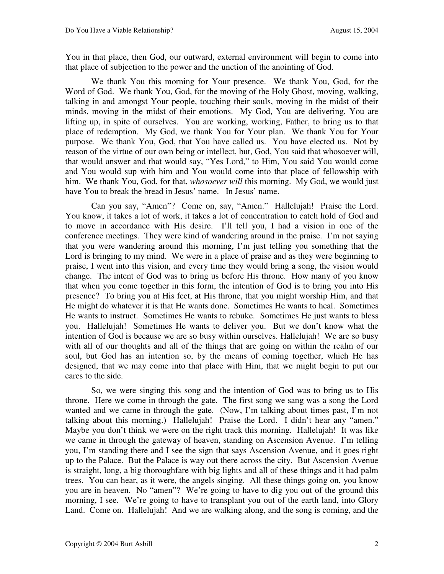You in that place, then God, our outward, external environment will begin to come into that place of subjection to the power and the unction of the anointing of God.

We thank You this morning for Your presence. We thank You, God, for the Word of God. We thank You, God, for the moving of the Holy Ghost, moving, walking, talking in and amongst Your people, touching their souls, moving in the midst of their minds, moving in the midst of their emotions. My God, You are delivering, You are lifting up, in spite of ourselves. You are working, working, Father, to bring us to that place of redemption. My God, we thank You for Your plan. We thank You for Your purpose. We thank You, God, that You have called us. You have elected us. Not by reason of the virtue of our own being or intellect, but, God, You said that whosoever will, that would answer and that would say, "Yes Lord," to Him, You said You would come and You would sup with him and You would come into that place of fellowship with him. We thank You, God, for that, *whosoever will* this morning. My God, we would just have You to break the bread in Jesus' name. In Jesus' name.

Can you say, "Amen"? Come on, say, "Amen." Hallelujah! Praise the Lord. You know, it takes a lot of work, it takes a lot of concentration to catch hold of God and to move in accordance with His desire. I'll tell you, I had a vision in one of the conference meetings. They were kind of wandering around in the praise. I'm not saying that you were wandering around this morning, I'm just telling you something that the Lord is bringing to my mind. We were in a place of praise and as they were beginning to praise, I went into this vision, and every time they would bring a song, the vision would change. The intent of God was to bring us before His throne. How many of you know that when you come together in this form, the intention of God is to bring you into His presence? To bring you at His feet, at His throne, that you might worship Him, and that He might do whatever it is that He wants done. Sometimes He wants to heal. Sometimes He wants to instruct. Sometimes He wants to rebuke. Sometimes He just wants to bless you. Hallelujah! Sometimes He wants to deliver you. But we don't know what the intention of God is because we are so busy within ourselves. Hallelujah! We are so busy with all of our thoughts and all of the things that are going on within the realm of our soul, but God has an intention so, by the means of coming together, which He has designed, that we may come into that place with Him, that we might begin to put our cares to the side.

So, we were singing this song and the intention of God was to bring us to His throne. Here we come in through the gate. The first song we sang was a song the Lord wanted and we came in through the gate. (Now, I'm talking about times past, I'm not talking about this morning.) Hallelujah! Praise the Lord. I didn't hear any "amen." Maybe you don't think we were on the right track this morning. Hallelujah! It was like we came in through the gateway of heaven, standing on Ascension Avenue. I'm telling you, I'm standing there and I see the sign that says Ascension Avenue, and it goes right up to the Palace. But the Palace is way out there across the city. But Ascension Avenue is straight, long, a big thoroughfare with big lights and all of these things and it had palm trees. You can hear, as it were, the angels singing. All these things going on, you know you are in heaven. No "amen"? We're going to have to dig you out of the ground this morning, I see. We're going to have to transplant you out of the earth land, into Glory Land. Come on. Hallelujah! And we are walking along, and the song is coming, and the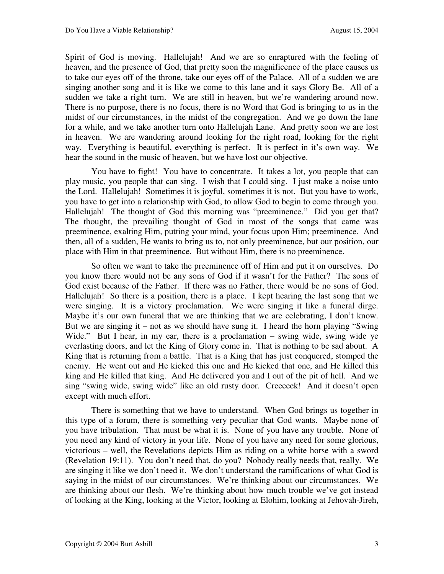Spirit of God is moving. Hallelujah! And we are so enraptured with the feeling of heaven, and the presence of God, that pretty soon the magnificence of the place causes us to take our eyes off of the throne, take our eyes off of the Palace. All of a sudden we are singing another song and it is like we come to this lane and it says Glory Be. All of a sudden we take a right turn. We are still in heaven, but we're wandering around now. There is no purpose, there is no focus, there is no Word that God is bringing to us in the midst of our circumstances, in the midst of the congregation. And we go down the lane for a while, and we take another turn onto Hallelujah Lane. And pretty soon we are lost in heaven. We are wandering around looking for the right road, looking for the right way. Everything is beautiful, everything is perfect. It is perfect in it's own way. We hear the sound in the music of heaven, but we have lost our objective.

You have to fight! You have to concentrate. It takes a lot, you people that can play music, you people that can sing. I wish that I could sing. I just make a noise unto the Lord. Hallelujah! Sometimes it is joyful, sometimes it is not. But you have to work, you have to get into a relationship with God, to allow God to begin to come through you. Hallelujah! The thought of God this morning was "preeminence." Did you get that? The thought, the prevailing thought of God in most of the songs that came was preeminence, exalting Him, putting your mind, your focus upon Him; preeminence. And then, all of a sudden, He wants to bring us to, not only preeminence, but our position, our place with Him in that preeminence. But without Him, there is no preeminence.

So often we want to take the preeminence off of Him and put it on ourselves. Do you know there would not be any sons of God if it wasn't for the Father? The sons of God exist because of the Father. If there was no Father, there would be no sons of God. Hallelujah! So there is a position, there is a place. I kept hearing the last song that we were singing. It is a victory proclamation. We were singing it like a funeral dirge. Maybe it's our own funeral that we are thinking that we are celebrating, I don't know. But we are singing it – not as we should have sung it. I heard the horn playing "Swing Wide." But I hear, in my ear, there is a proclamation – swing wide, swing wide ye everlasting doors, and let the King of Glory come in. That is nothing to be sad about. A King that is returning from a battle. That is a King that has just conquered, stomped the enemy. He went out and He kicked this one and He kicked that one, and He killed this king and He killed that king. And He delivered you and I out of the pit of hell. And we sing "swing wide, swing wide" like an old rusty door. Creeeeek! And it doesn't open except with much effort.

There is something that we have to understand. When God brings us together in this type of a forum, there is something very peculiar that God wants. Maybe none of you have tribulation. That must be what it is. None of you have any trouble. None of you need any kind of victory in your life. None of you have any need for some glorious, victorious – well, the Revelations depicts Him as riding on a white horse with a sword (Revelation 19:11). You don't need that, do you? Nobody really needs that, really. We are singing it like we don't need it. We don't understand the ramifications of what God is saying in the midst of our circumstances. We're thinking about our circumstances. We are thinking about our flesh. We're thinking about how much trouble we've got instead of looking at the King, looking at the Victor, looking at Elohim, looking at Jehovah-Jireh,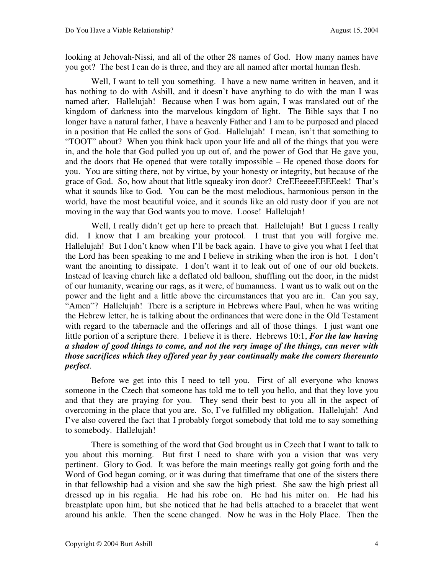looking at Jehovah-Nissi, and all of the other 28 names of God. How many names have you got? The best I can do is three, and they are all named after mortal human flesh.

Well, I want to tell you something. I have a new name written in heaven, and it has nothing to do with Asbill, and it doesn't have anything to do with the man I was named after. Hallelujah! Because when I was born again, I was translated out of the kingdom of darkness into the marvelous kingdom of light. The Bible says that I no longer have a natural father, I have a heavenly Father and I am to be purposed and placed in a position that He called the sons of God. Hallelujah! I mean, isn't that something to "TOOT" about? When you think back upon your life and all of the things that you were in, and the hole that God pulled you up out of, and the power of God that He gave you, and the doors that He opened that were totally impossible – He opened those doors for you. You are sitting there, not by virtue, by your honesty or integrity, but because of the grace of God. So, how about that little squeaky iron door? CreEEeeeeEEEEeek! That's what it sounds like to God. You can be the most melodious, harmonious person in the world, have the most beautiful voice, and it sounds like an old rusty door if you are not moving in the way that God wants you to move. Loose! Hallelujah!

Well, I really didn't get up here to preach that. Hallelujah! But I guess I really did. I know that I am breaking your protocol. I trust that you will forgive me. Hallelujah! But I don't know when I'll be back again. I have to give you what I feel that the Lord has been speaking to me and I believe in striking when the iron is hot. I don't want the anointing to dissipate. I don't want it to leak out of one of our old buckets. Instead of leaving church like a deflated old balloon, shuffling out the door, in the midst of our humanity, wearing our rags, as it were, of humanness. I want us to walk out on the power and the light and a little above the circumstances that you are in. Can you say, "Amen"? Hallelujah! There is a scripture in Hebrews where Paul, when he was writing the Hebrew letter, he is talking about the ordinances that were done in the Old Testament with regard to the tabernacle and the offerings and all of those things. I just want one little portion of a scripture there. I believe it is there. Hebrews 10:1, *For the law having a shadow of good things to come, and not the very image of the things, can never with those sacrifices which they offered year by year continually make the comers thereunto perfect.* 

Before we get into this I need to tell you. First of all everyone who knows someone in the Czech that someone has told me to tell you hello, and that they love you and that they are praying for you. They send their best to you all in the aspect of overcoming in the place that you are. So, I've fulfilled my obligation. Hallelujah! And I've also covered the fact that I probably forgot somebody that told me to say something to somebody. Hallelujah!

There is something of the word that God brought us in Czech that I want to talk to you about this morning. But first I need to share with you a vision that was very pertinent. Glory to God. It was before the main meetings really got going forth and the Word of God began coming, or it was during that timeframe that one of the sisters there in that fellowship had a vision and she saw the high priest. She saw the high priest all dressed up in his regalia. He had his robe on. He had his miter on. He had his breastplate upon him, but she noticed that he had bells attached to a bracelet that went around his ankle. Then the scene changed. Now he was in the Holy Place. Then the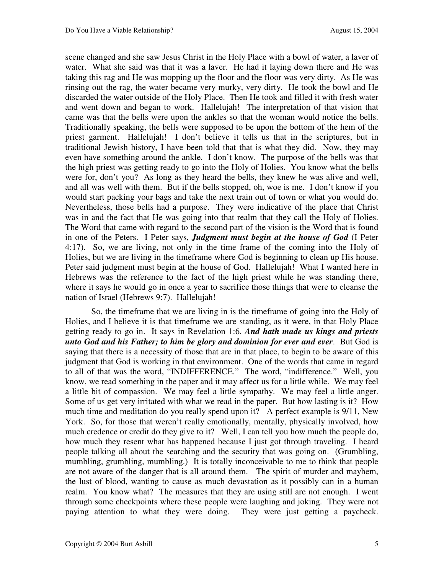scene changed and she saw Jesus Christ in the Holy Place with a bowl of water, a laver of water. What she said was that it was a laver. He had it laying down there and He was taking this rag and He was mopping up the floor and the floor was very dirty. As He was rinsing out the rag, the water became very murky, very dirty. He took the bowl and He discarded the water outside of the Holy Place. Then He took and filled it with fresh water and went down and began to work. Hallelujah! The interpretation of that vision that came was that the bells were upon the ankles so that the woman would notice the bells. Traditionally speaking, the bells were supposed to be upon the bottom of the hem of the priest garment. Hallelujah! I don't believe it tells us that in the scriptures, but in traditional Jewish history, I have been told that that is what they did. Now, they may even have something around the ankle. I don't know. The purpose of the bells was that the high priest was getting ready to go into the Holy of Holies. You know what the bells were for, don't you? As long as they heard the bells, they knew he was alive and well, and all was well with them. But if the bells stopped, oh, woe is me. I don't know if you would start packing your bags and take the next train out of town or what you would do. Nevertheless, those bells had a purpose. They were indicative of the place that Christ was in and the fact that He was going into that realm that they call the Holy of Holies. The Word that came with regard to the second part of the vision is the Word that is found in one of the Peters. I Peter says, *Judgment must begin at the house of God* (I Peter 4:17). So, we are living, not only in the time frame of the coming into the Holy of Holies, but we are living in the timeframe where God is beginning to clean up His house. Peter said judgment must begin at the house of God. Hallelujah! What I wanted here in Hebrews was the reference to the fact of the high priest while he was standing there, where it says he would go in once a year to sacrifice those things that were to cleanse the nation of Israel (Hebrews 9:7). Hallelujah!

So, the timeframe that we are living in is the timeframe of going into the Holy of Holies, and I believe it is that timeframe we are standing, as it were, in that Holy Place getting ready to go in. It says in Revelation 1:6, *And hath made us kings and priests unto God and his Father; to him be glory and dominion for ever and ever*. But God is saying that there is a necessity of those that are in that place, to begin to be aware of this judgment that God is working in that environment. One of the words that came in regard to all of that was the word, "INDIFFERENCE." The word, "indifference." Well, you know, we read something in the paper and it may affect us for a little while. We may feel a little bit of compassion. We may feel a little sympathy. We may feel a little anger. Some of us get very irritated with what we read in the paper. But how lasting is it? How much time and meditation do you really spend upon it? A perfect example is 9/11, New York. So, for those that weren't really emotionally, mentally, physically involved, how much credence or credit do they give to it? Well, I can tell you how much the people do, how much they resent what has happened because I just got through traveling. I heard people talking all about the searching and the security that was going on. (Grumbling, mumbling, grumbling, mumbling.) It is totally inconceivable to me to think that people are not aware of the danger that is all around them. The spirit of murder and mayhem, the lust of blood, wanting to cause as much devastation as it possibly can in a human realm. You know what? The measures that they are using still are not enough. I went through some checkpoints where these people were laughing and joking. They were not paying attention to what they were doing. They were just getting a paycheck.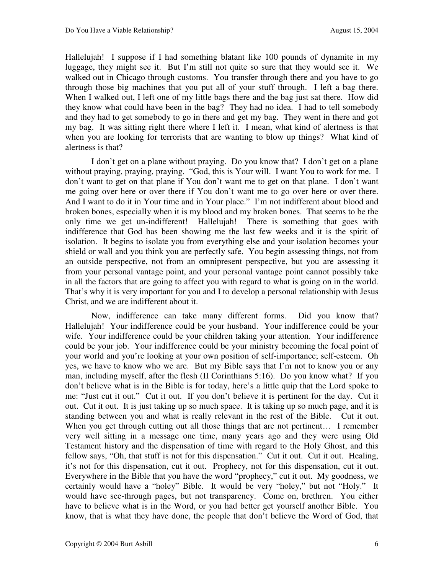Hallelujah! I suppose if I had something blatant like 100 pounds of dynamite in my luggage, they might see it. But I'm still not quite so sure that they would see it. We walked out in Chicago through customs. You transfer through there and you have to go through those big machines that you put all of your stuff through. I left a bag there. When I walked out, I left one of my little bags there and the bag just sat there. How did they know what could have been in the bag? They had no idea. I had to tell somebody and they had to get somebody to go in there and get my bag. They went in there and got my bag. It was sitting right there where I left it. I mean, what kind of alertness is that when you are looking for terrorists that are wanting to blow up things? What kind of alertness is that?

I don't get on a plane without praying. Do you know that? I don't get on a plane without praying, praying, praying. "God, this is Your will. I want You to work for me. I don't want to get on that plane if You don't want me to get on that plane. I don't want me going over here or over there if You don't want me to go over here or over there. And I want to do it in Your time and in Your place." I'm not indifferent about blood and broken bones, especially when it is my blood and my broken bones. That seems to be the only time we get un-indifferent! Hallelujah! There is something that goes with indifference that God has been showing me the last few weeks and it is the spirit of isolation. It begins to isolate you from everything else and your isolation becomes your shield or wall and you think you are perfectly safe. You begin assessing things, not from an outside perspective, not from an omnipresent perspective, but you are assessing it from your personal vantage point, and your personal vantage point cannot possibly take in all the factors that are going to affect you with regard to what is going on in the world. That's why it is very important for you and I to develop a personal relationship with Jesus Christ, and we are indifferent about it.

Now, indifference can take many different forms. Did you know that? Hallelujah! Your indifference could be your husband. Your indifference could be your wife. Your indifference could be your children taking your attention. Your indifference could be your job. Your indifference could be your ministry becoming the focal point of your world and you're looking at your own position of self-importance; self-esteem. Oh yes, we have to know who we are. But my Bible says that I'm not to know you or any man, including myself, after the flesh (II Corinthians 5:16). Do you know what? If you don't believe what is in the Bible is for today, here's a little quip that the Lord spoke to me: "Just cut it out." Cut it out. If you don't believe it is pertinent for the day. Cut it out. Cut it out. It is just taking up so much space. It is taking up so much page, and it is standing between you and what is really relevant in the rest of the Bible. Cut it out. When you get through cutting out all those things that are not pertinent... I remember very well sitting in a message one time, many years ago and they were using Old Testament history and the dispensation of time with regard to the Holy Ghost, and this fellow says, "Oh, that stuff is not for this dispensation." Cut it out. Cut it out. Healing, it's not for this dispensation, cut it out. Prophecy, not for this dispensation, cut it out. Everywhere in the Bible that you have the word "prophecy," cut it out. My goodness, we certainly would have a "holey" Bible. It would be very "holey," but not "Holy." It would have see-through pages, but not transparency. Come on, brethren. You either have to believe what is in the Word, or you had better get yourself another Bible. You know, that is what they have done, the people that don't believe the Word of God, that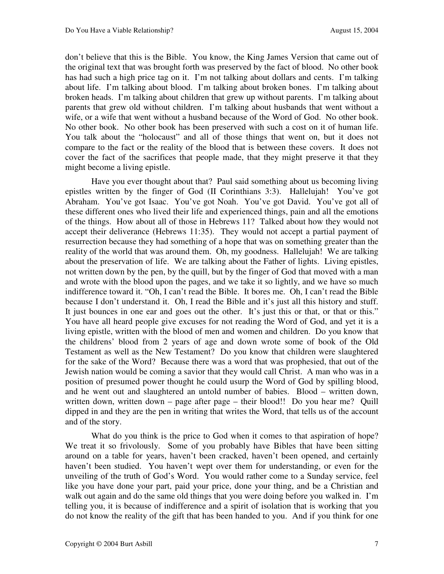don't believe that this is the Bible. You know, the King James Version that came out of the original text that was brought forth was preserved by the fact of blood. No other book has had such a high price tag on it. I'm not talking about dollars and cents. I'm talking about life. I'm talking about blood. I'm talking about broken bones. I'm talking about broken heads. I'm talking about children that grew up without parents. I'm talking about parents that grew old without children. I'm talking about husbands that went without a wife, or a wife that went without a husband because of the Word of God. No other book. No other book. No other book has been preserved with such a cost on it of human life. You talk about the "holocaust" and all of those things that went on, but it does not compare to the fact or the reality of the blood that is between these covers. It does not cover the fact of the sacrifices that people made, that they might preserve it that they might become a living epistle.

Have you ever thought about that? Paul said something about us becoming living epistles written by the finger of God (II Corinthians 3:3). Hallelujah! You've got Abraham. You've got Isaac. You've got Noah. You've got David. You've got all of these different ones who lived their life and experienced things, pain and all the emotions of the things. How about all of those in Hebrews 11? Talked about how they would not accept their deliverance (Hebrews 11:35). They would not accept a partial payment of resurrection because they had something of a hope that was on something greater than the reality of the world that was around them. Oh, my goodness. Hallelujah! We are talking about the preservation of life. We are talking about the Father of lights. Living epistles, not written down by the pen, by the quill, but by the finger of God that moved with a man and wrote with the blood upon the pages, and we take it so lightly, and we have so much indifference toward it. "Oh, I can't read the Bible. It bores me. Oh, I can't read the Bible because I don't understand it. Oh, I read the Bible and it's just all this history and stuff. It just bounces in one ear and goes out the other. It's just this or that, or that or this." You have all heard people give excuses for not reading the Word of God, and yet it is a living epistle, written with the blood of men and women and children. Do you know that the childrens' blood from 2 years of age and down wrote some of book of the Old Testament as well as the New Testament? Do you know that children were slaughtered for the sake of the Word? Because there was a word that was prophesied, that out of the Jewish nation would be coming a savior that they would call Christ. A man who was in a position of presumed power thought he could usurp the Word of God by spilling blood, and he went out and slaughtered an untold number of babies. Blood – written down, written down, written down – page after page – their blood!! Do you hear me? Quill dipped in and they are the pen in writing that writes the Word, that tells us of the account and of the story.

What do you think is the price to God when it comes to that aspiration of hope? We treat it so frivolously. Some of you probably have Bibles that have been sitting around on a table for years, haven't been cracked, haven't been opened, and certainly haven't been studied. You haven't wept over them for understanding, or even for the unveiling of the truth of God's Word. You would rather come to a Sunday service, feel like you have done your part, paid your price, done your thing, and be a Christian and walk out again and do the same old things that you were doing before you walked in. I'm telling you, it is because of indifference and a spirit of isolation that is working that you do not know the reality of the gift that has been handed to you. And if you think for one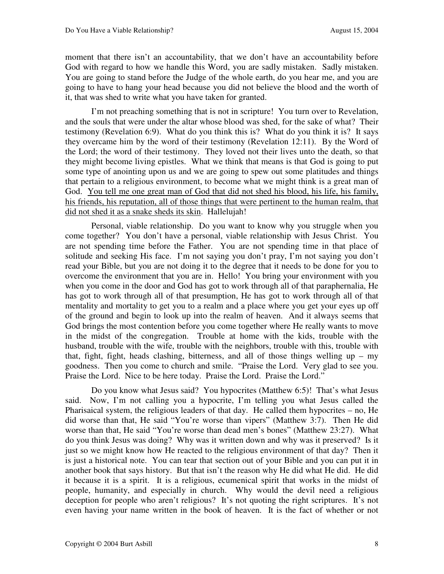moment that there isn't an accountability, that we don't have an accountability before God with regard to how we handle this Word, you are sadly mistaken. Sadly mistaken. You are going to stand before the Judge of the whole earth, do you hear me, and you are going to have to hang your head because you did not believe the blood and the worth of it, that was shed to write what you have taken for granted.

I'm not preaching something that is not in scripture! You turn over to Revelation, and the souls that were under the altar whose blood was shed, for the sake of what? Their testimony (Revelation 6:9). What do you think this is? What do you think it is? It says they overcame him by the word of their testimony (Revelation 12:11). By the Word of the Lord; the word of their testimony. They loved not their lives unto the death, so that they might become living epistles. What we think that means is that God is going to put some type of anointing upon us and we are going to spew out some platitudes and things that pertain to a religious environment, to become what we might think is a great man of God. You tell me one great man of God that did not shed his blood, his life, his family, his friends, his reputation, all of those things that were pertinent to the human realm, that did not shed it as a snake sheds its skin. Hallelujah!

Personal, viable relationship. Do you want to know why you struggle when you come together? You don't have a personal, viable relationship with Jesus Christ. You are not spending time before the Father. You are not spending time in that place of solitude and seeking His face. I'm not saying you don't pray, I'm not saying you don't read your Bible, but you are not doing it to the degree that it needs to be done for you to overcome the environment that you are in. Hello! You bring your environment with you when you come in the door and God has got to work through all of that paraphernalia, He has got to work through all of that presumption, He has got to work through all of that mentality and mortality to get you to a realm and a place where you get your eyes up off of the ground and begin to look up into the realm of heaven. And it always seems that God brings the most contention before you come together where He really wants to move in the midst of the congregation. Trouble at home with the kids, trouble with the husband, trouble with the wife, trouble with the neighbors, trouble with this, trouble with that, fight, fight, heads clashing, bitterness, and all of those things welling up – my goodness. Then you come to church and smile. "Praise the Lord. Very glad to see you. Praise the Lord. Nice to be here today. Praise the Lord. Praise the Lord."

Do you know what Jesus said? You hypocrites (Matthew 6:5)! That's what Jesus said. Now, I'm not calling you a hypocrite, I'm telling you what Jesus called the Pharisaical system, the religious leaders of that day. He called them hypocrites – no, He did worse than that, He said "You're worse than vipers" (Matthew 3:7). Then He did worse than that, He said "You're worse than dead men's bones" (Matthew 23:27). What do you think Jesus was doing? Why was it written down and why was it preserved? Is it just so we might know how He reacted to the religious environment of that day? Then it is just a historical note. You can tear that section out of your Bible and you can put it in another book that says history. But that isn't the reason why He did what He did. He did it because it is a spirit. It is a religious, ecumenical spirit that works in the midst of people, humanity, and especially in church. Why would the devil need a religious deception for people who aren't religious? It's not quoting the right scriptures. It's not even having your name written in the book of heaven. It is the fact of whether or not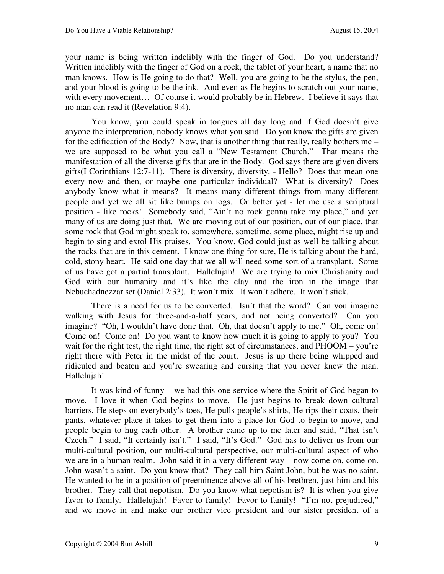your name is being written indelibly with the finger of God. Do you understand? Written indelibly with the finger of God on a rock, the tablet of your heart, a name that no man knows. How is He going to do that? Well, you are going to be the stylus, the pen, and your blood is going to be the ink. And even as He begins to scratch out your name, with every movement... Of course it would probably be in Hebrew. I believe it says that no man can read it (Revelation 9:4).

You know, you could speak in tongues all day long and if God doesn't give anyone the interpretation, nobody knows what you said. Do you know the gifts are given for the edification of the Body? Now, that is another thing that really, really bothers me – we are supposed to be what you call a "New Testament Church." That means the manifestation of all the diverse gifts that are in the Body. God says there are given divers gifts(I Corinthians 12:7-11). There is diversity, diversity, - Hello? Does that mean one every now and then, or maybe one particular individual? What is diversity? Does anybody know what it means? It means many different things from many different people and yet we all sit like bumps on logs. Or better yet - let me use a scriptural position - like rocks! Somebody said, "Ain't no rock gonna take my place," and yet many of us are doing just that. We are moving out of our position, out of our place, that some rock that God might speak to, somewhere, sometime, some place, might rise up and begin to sing and extol His praises. You know, God could just as well be talking about the rocks that are in this cement. I know one thing for sure, He is talking about the hard, cold, stony heart. He said one day that we all will need some sort of a transplant. Some of us have got a partial transplant. Hallelujah! We are trying to mix Christianity and God with our humanity and it's like the clay and the iron in the image that Nebuchadnezzar set (Daniel 2:33). It won't mix. It won't adhere. It won't stick.

There is a need for us to be converted. Isn't that the word? Can you imagine walking with Jesus for three-and-a-half years, and not being converted? Can you imagine? "Oh, I wouldn't have done that. Oh, that doesn't apply to me." Oh, come on! Come on! Come on! Do you want to know how much it is going to apply to you? You wait for the right test, the right time, the right set of circumstances, and PHOOM – you're right there with Peter in the midst of the court. Jesus is up there being whipped and ridiculed and beaten and you're swearing and cursing that you never knew the man. Hallelujah!

It was kind of funny – we had this one service where the Spirit of God began to move. I love it when God begins to move. He just begins to break down cultural barriers, He steps on everybody's toes, He pulls people's shirts, He rips their coats, their pants, whatever place it takes to get them into a place for God to begin to move, and people begin to hug each other. A brother came up to me later and said, "That isn't Czech." I said, "It certainly isn't." I said, "It's God." God has to deliver us from our multi-cultural position, our multi-cultural perspective, our multi-cultural aspect of who we are in a human realm. John said it in a very different way – now come on, come on. John wasn't a saint. Do you know that? They call him Saint John, but he was no saint. He wanted to be in a position of preeminence above all of his brethren, just him and his brother. They call that nepotism. Do you know what nepotism is? It is when you give favor to family. Hallelujah! Favor to family! Favor to family! "I'm not prejudiced," and we move in and make our brother vice president and our sister president of a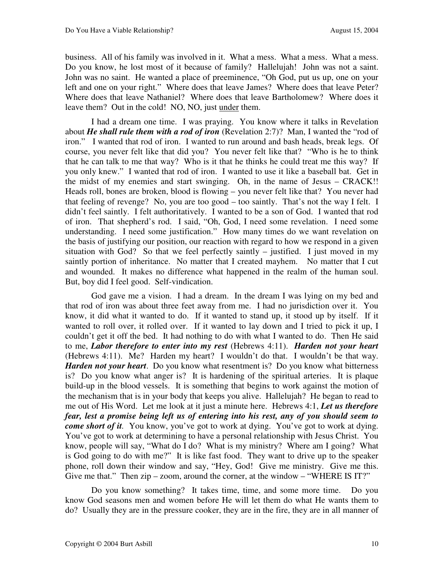business. All of his family was involved in it. What a mess. What a mess. What a mess. Do you know, he lost most of it because of family? Hallelujah! John was not a saint. John was no saint. He wanted a place of preeminence, "Oh God, put us up, one on your left and one on your right." Where does that leave James? Where does that leave Peter? Where does that leave Nathaniel? Where does that leave Bartholomew? Where does it leave them? Out in the cold! NO, NO, just under them.

I had a dream one time. I was praying. You know where it talks in Revelation about *He shall rule them with a rod of iron* (Revelation 2:7)? Man, I wanted the "rod of iron." I wanted that rod of iron. I wanted to run around and bash heads, break legs. Of course, you never felt like that did you? You never felt like that? "Who is he to think that he can talk to me that way? Who is it that he thinks he could treat me this way? If you only knew." I wanted that rod of iron. I wanted to use it like a baseball bat. Get in the midst of my enemies and start swinging. Oh, in the name of Jesus – CRACK!! Heads roll, bones are broken, blood is flowing – you never felt like that? You never had that feeling of revenge? No, you are too good – too saintly. That's not the way I felt. I didn't feel saintly. I felt authoritatively. I wanted to be a son of God. I wanted that rod of iron. That shepherd's rod. I said, "Oh, God, I need some revelation. I need some understanding. I need some justification." How many times do we want revelation on the basis of justifying our position, our reaction with regard to how we respond in a given situation with God? So that we feel perfectly saintly – justified. I just moved in my saintly portion of inheritance. No matter that I created mayhem. No matter that I cut and wounded. It makes no difference what happened in the realm of the human soul. But, boy did I feel good. Self-vindication.

God gave me a vision. I had a dream. In the dream I was lying on my bed and that rod of iron was about three feet away from me. I had no jurisdiction over it. You know, it did what it wanted to do. If it wanted to stand up, it stood up by itself. If it wanted to roll over, it rolled over. If it wanted to lay down and I tried to pick it up, I couldn't get it off the bed. It had nothing to do with what I wanted to do. Then He said to me, *Labor therefore to enter into my rest* (Hebrews 4:11). *Harden not your heart* (Hebrews 4:11). Me? Harden my heart? I wouldn't do that. I wouldn't be that way. *Harden not your heart*. Do you know what resentment is? Do you know what bitterness is? Do you know what anger is? It is hardening of the spiritual arteries. It is plaque build-up in the blood vessels. It is something that begins to work against the motion of the mechanism that is in your body that keeps you alive. Hallelujah? He began to read to me out of His Word. Let me look at it just a minute here. Hebrews 4:1, *Let us therefore fear, lest a promise being left us of entering into his rest, any of you should seem to come short of it.* You know, you've got to work at dying. You've got to work at dying. You've got to work at determining to have a personal relationship with Jesus Christ. You know, people will say, "What do I do? What is my ministry? Where am I going? What is God going to do with me?" It is like fast food. They want to drive up to the speaker phone, roll down their window and say, "Hey, God! Give me ministry. Give me this. Give me that." Then zip – zoom, around the corner, at the window – "WHERE IS IT?"

Do you know something? It takes time, time, and some more time. Do you know God seasons men and women before He will let them do what He wants them to do? Usually they are in the pressure cooker, they are in the fire, they are in all manner of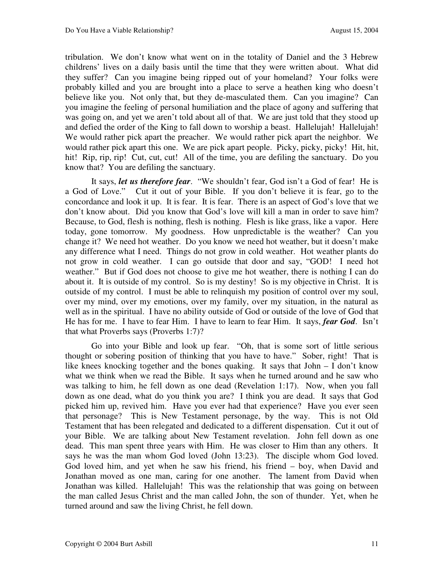tribulation. We don't know what went on in the totality of Daniel and the 3 Hebrew childrens' lives on a daily basis until the time that they were written about. What did they suffer? Can you imagine being ripped out of your homeland? Your folks were probably killed and you are brought into a place to serve a heathen king who doesn't believe like you. Not only that, but they de-masculated them. Can you imagine? Can you imagine the feeling of personal humiliation and the place of agony and suffering that was going on, and yet we aren't told about all of that. We are just told that they stood up and defied the order of the King to fall down to worship a beast. Hallelujah! Hallelujah! We would rather pick apart the preacher. We would rather pick apart the neighbor. We would rather pick apart this one. We are pick apart people. Picky, picky, picky! Hit, hit, hit! Rip, rip, rip! Cut, cut, cut! All of the time, you are defiling the sanctuary. Do you know that? You are defiling the sanctuary.

It says, *let us therefore fear*. "We shouldn't fear, God isn't a God of fear! He is a God of Love." Cut it out of your Bible. If you don't believe it is fear, go to the concordance and look it up. It is fear. It is fear. There is an aspect of God's love that we don't know about. Did you know that God's love will kill a man in order to save him? Because, to God, flesh is nothing, flesh is nothing. Flesh is like grass, like a vapor. Here today, gone tomorrow. My goodness. How unpredictable is the weather? Can you change it? We need hot weather. Do you know we need hot weather, but it doesn't make any difference what I need. Things do not grow in cold weather. Hot weather plants do not grow in cold weather. I can go outside that door and say, "GOD! I need hot weather." But if God does not choose to give me hot weather, there is nothing I can do about it. It is outside of my control. So is my destiny! So is my objective in Christ. It is outside of my control. I must be able to relinquish my position of control over my soul, over my mind, over my emotions, over my family, over my situation, in the natural as well as in the spiritual. I have no ability outside of God or outside of the love of God that He has for me. I have to fear Him. I have to learn to fear Him. It says, *fear God*. Isn't that what Proverbs says (Proverbs 1:7)?

Go into your Bible and look up fear. "Oh, that is some sort of little serious thought or sobering position of thinking that you have to have." Sober, right! That is like knees knocking together and the bones quaking. It says that John – I don't know what we think when we read the Bible. It says when he turned around and he saw who was talking to him, he fell down as one dead (Revelation 1:17). Now, when you fall down as one dead, what do you think you are? I think you are dead. It says that God picked him up, revived him. Have you ever had that experience? Have you ever seen that personage? This is New Testament personage, by the way. This is not Old Testament that has been relegated and dedicated to a different dispensation. Cut it out of your Bible. We are talking about New Testament revelation. John fell down as one dead. This man spent three years with Him. He was closer to Him than any others. It says he was the man whom God loved (John 13:23). The disciple whom God loved. God loved him, and yet when he saw his friend, his friend – boy, when David and Jonathan moved as one man, caring for one another. The lament from David when Jonathan was killed. Hallelujah! This was the relationship that was going on between the man called Jesus Christ and the man called John, the son of thunder. Yet, when he turned around and saw the living Christ, he fell down.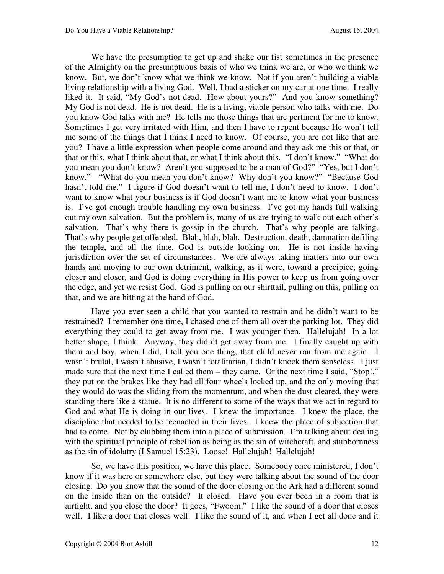We have the presumption to get up and shake our fist sometimes in the presence of the Almighty on the presumptuous basis of who we think we are, or who we think we know. But, we don't know what we think we know. Not if you aren't building a viable living relationship with a living God. Well, I had a sticker on my car at one time. I really liked it. It said, "My God's not dead. How about yours?" And you know something? My God is not dead. He is not dead. He is a living, viable person who talks with me. Do you know God talks with me? He tells me those things that are pertinent for me to know. Sometimes I get very irritated with Him, and then I have to repent because He won't tell me some of the things that I think I need to know. Of course, you are not like that are you? I have a little expression when people come around and they ask me this or that, or that or this, what I think about that, or what I think about this. "I don't know." "What do you mean you don't know? Aren't you supposed to be a man of God?" "Yes, but I don't know." "What do you mean you don't know? Why don't you know?" "Because God hasn't told me." I figure if God doesn't want to tell me, I don't need to know. I don't want to know what your business is if God doesn't want me to know what your business is. I've got enough trouble handling my own business. I've got my hands full walking out my own salvation. But the problem is, many of us are trying to walk out each other's salvation. That's why there is gossip in the church. That's why people are talking. That's why people get offended. Blah, blah, blah. Destruction, death, damnation defiling the temple, and all the time, God is outside looking on. He is not inside having jurisdiction over the set of circumstances. We are always taking matters into our own hands and moving to our own detriment, walking, as it were, toward a precipice, going closer and closer, and God is doing everything in His power to keep us from going over the edge, and yet we resist God. God is pulling on our shirttail, pulling on this, pulling on that, and we are hitting at the hand of God.

Have you ever seen a child that you wanted to restrain and he didn't want to be restrained? I remember one time, I chased one of them all over the parking lot. They did everything they could to get away from me. I was younger then. Hallelujah! In a lot better shape, I think. Anyway, they didn't get away from me. I finally caught up with them and boy, when I did, I tell you one thing, that child never ran from me again. I wasn't brutal, I wasn't abusive, I wasn't totalitarian, I didn't knock them senseless. I just made sure that the next time I called them – they came. Or the next time I said, "Stop!," they put on the brakes like they had all four wheels locked up, and the only moving that they would do was the sliding from the momentum, and when the dust cleared, they were standing there like a statue. It is no different to some of the ways that we act in regard to God and what He is doing in our lives. I knew the importance. I knew the place, the discipline that needed to be reenacted in their lives. I knew the place of subjection that had to come. Not by clubbing them into a place of submission. I'm talking about dealing with the spiritual principle of rebellion as being as the sin of witchcraft, and stubbornness as the sin of idolatry (I Samuel 15:23). Loose! Hallelujah! Hallelujah!

So, we have this position, we have this place. Somebody once ministered, I don't know if it was here or somewhere else, but they were talking about the sound of the door closing. Do you know that the sound of the door closing on the Ark had a different sound on the inside than on the outside? It closed. Have you ever been in a room that is airtight, and you close the door? It goes, "Fwoom." I like the sound of a door that closes well. I like a door that closes well. I like the sound of it, and when I get all done and it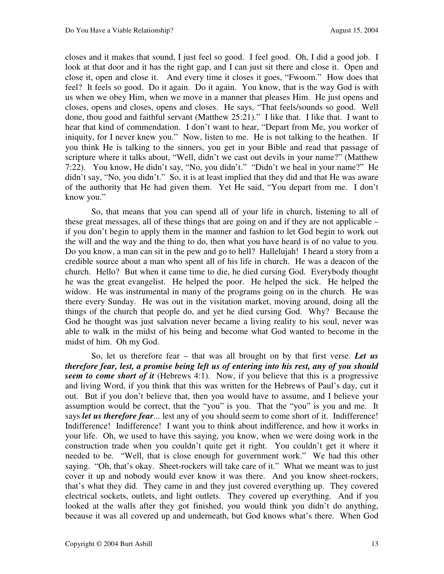closes and it makes that sound, I just feel so good. I feel good. Oh, I did a good job. I look at that door and it has the right gap, and I can just sit there and close it. Open and close it, open and close it. And every time it closes it goes, "Fwoom." How does that feel? It feels so good. Do it again. Do it again. You know, that is the way God is with us when we obey Him, when we move in a manner that pleases Him. He just opens and closes, opens and closes, opens and closes. He says, "That feels/sounds so good. Well done, thou good and faithful servant (Matthew 25:21)." I like that. I like that. I want to hear that kind of commendation. I don't want to hear, "Depart from Me, you worker of iniquity, for I never knew you." Now, listen to me. He is not talking to the heathen. If you think He is talking to the sinners, you get in your Bible and read that passage of scripture where it talks about, "Well, didn't we cast out devils in your name?" (Matthew 7:22). You know, He didn't say, "No, you didn't." "Didn't we heal in your name?" He didn't say, "No, you didn't." So, it is at least implied that they did and that He was aware of the authority that He had given them. Yet He said, "You depart from me. I don't know you."

So, that means that you can spend all of your life in church, listening to all of these great messages, all of these things that are going on and if they are not applicable – if you don't begin to apply them in the manner and fashion to let God begin to work out the will and the way and the thing to do, then what you have heard is of no value to you. Do you know, a man can sit in the pew and go to hell? Hallelujah! I heard a story from a credible source about a man who spent all of his life in church. He was a deacon of the church. Hello? But when it came time to die, he died cursing God. Everybody thought he was the great evangelist. He helped the poor. He helped the sick. He helped the widow. He was instrumental in many of the programs going on in the church. He was there every Sunday. He was out in the visitation market, moving around, doing all the things of the church that people do, and yet he died cursing God. Why? Because the God he thought was just salvation never became a living reality to his soul, never was able to walk in the midst of his being and become what God wanted to become in the midst of him. Oh my God.

So, let us therefore fear – that was all brought on by that first verse. *Let us therefore fear, lest, a promise being left us of entering into his rest, any of you should seem to come short of it* (Hebrews 4:1). Now, if you believe that this is a progressive and living Word, if you think that this was written for the Hebrews of Paul's day, cut it out. But if you don't believe that, then you would have to assume, and I believe your assumption would be correct, that the "you" is you. That the "you" is you and me. It says *let us therefore fear*... lest any of you should seem to come short of it. Indifference! Indifference! Indifference! I want you to think about indifference, and how it works in your life. Oh, we used to have this saying, you know, when we were doing work in the construction trade when you couldn't quite get it right. You couldn't get it where it needed to be. "Well, that is close enough for government work." We had this other saying. "Oh, that's okay. Sheet-rockers will take care of it." What we meant was to just cover it up and nobody would ever know it was there. And you know sheet-rockers, that's what they did. They came in and they just covered everything up. They covered electrical sockets, outlets, and light outlets. They covered up everything. And if you looked at the walls after they got finished, you would think you didn't do anything, because it was all covered up and underneath, but God knows what's there. When God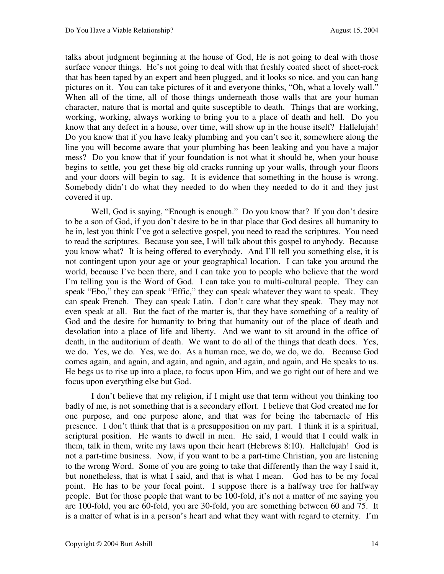talks about judgment beginning at the house of God, He is not going to deal with those surface veneer things. He's not going to deal with that freshly coated sheet of sheet-rock that has been taped by an expert and been plugged, and it looks so nice, and you can hang pictures on it. You can take pictures of it and everyone thinks, "Oh, what a lovely wall." When all of the time, all of those things underneath those walls that are your human character, nature that is mortal and quite susceptible to death. Things that are working, working, working, always working to bring you to a place of death and hell. Do you know that any defect in a house, over time, will show up in the house itself? Hallelujah! Do you know that if you have leaky plumbing and you can't see it, somewhere along the line you will become aware that your plumbing has been leaking and you have a major mess? Do you know that if your foundation is not what it should be, when your house begins to settle, you get these big old cracks running up your walls, through your floors and your doors will begin to sag. It is evidence that something in the house is wrong. Somebody didn't do what they needed to do when they needed to do it and they just covered it up.

Well, God is saying, "Enough is enough." Do you know that? If you don't desire to be a son of God, if you don't desire to be in that place that God desires all humanity to be in, lest you think I've got a selective gospel, you need to read the scriptures. You need to read the scriptures. Because you see, I will talk about this gospel to anybody. Because you know what? It is being offered to everybody. And I'll tell you something else, it is not contingent upon your age or your geographical location. I can take you around the world, because I've been there, and I can take you to people who believe that the word I'm telling you is the Word of God. I can take you to multi-cultural people. They can speak "Ebo," they can speak "Effic," they can speak whatever they want to speak. They can speak French. They can speak Latin. I don't care what they speak. They may not even speak at all. But the fact of the matter is, that they have something of a reality of God and the desire for humanity to bring that humanity out of the place of death and desolation into a place of life and liberty. And we want to sit around in the office of death, in the auditorium of death. We want to do all of the things that death does. Yes, we do. Yes, we do. Yes, we do. As a human race, we do, we do, we do. Because God comes again, and again, and again, and again, and again, and again, and He speaks to us. He begs us to rise up into a place, to focus upon Him, and we go right out of here and we focus upon everything else but God.

I don't believe that my religion, if I might use that term without you thinking too badly of me, is not something that is a secondary effort. I believe that God created me for one purpose, and one purpose alone, and that was for being the tabernacle of His presence. I don't think that that is a presupposition on my part. I think it is a spiritual, scriptural position. He wants to dwell in men. He said, I would that I could walk in them, talk in them, write my laws upon their heart (Hebrews 8:10). Hallelujah! God is not a part-time business. Now, if you want to be a part-time Christian, you are listening to the wrong Word. Some of you are going to take that differently than the way I said it, but nonetheless, that is what I said, and that is what I mean. God has to be my focal point. He has to be your focal point. I suppose there is a halfway tree for halfway people. But for those people that want to be 100-fold, it's not a matter of me saying you are 100-fold, you are 60-fold, you are 30-fold, you are something between 60 and 75. It is a matter of what is in a person's heart and what they want with regard to eternity. I'm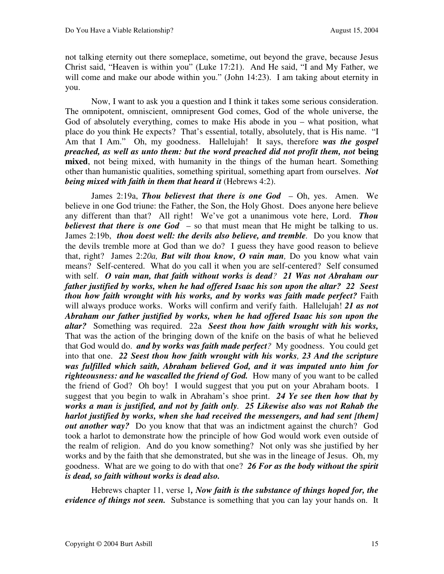not talking eternity out there someplace, sometime, out beyond the grave, because Jesus Christ said, "Heaven is within you" (Luke 17:21). And He said, "I and My Father, we will come and make our abode within you." (John 14:23). I am taking about eternity in you.

Now, I want to ask you a question and I think it takes some serious consideration. The omnipotent, omniscient, omnipresent God comes, God of the whole universe, the God of absolutely everything, comes to make His abode in you – what position, what place do you think He expects? That's essential, totally, absolutely, that is His name. "I Am that I Am." Oh, my goodness. Hallelujah! It says, therefore *was the gospel preached, as well as unto them: but the word preached did not profit them, not* **being mixed**, not being mixed, with humanity in the things of the human heart. Something other than humanistic qualities, something spiritual, something apart from ourselves. *Not being mixed with faith in them that heard it* (Hebrews 4:2).

James 2:19a, *Thou believest that there is one God* – Oh, yes. Amen. We believe in one God triune: the Father, the Son, the Holy Ghost. Does anyone here believe any different than that? All right! We've got a unanimous vote here, Lord. *Thou believest that there is one God* – so that must mean that He might be talking to us. James 2:19b, *thou doest well: the devils also believe, and tremble.* Do you know that the devils tremble more at God than we do? I guess they have good reason to believe that, right? James 2:*20a, But wilt thou know, O vain man,* Do you know what vain means? Self-centered. What do you call it when you are self-centered? Self consumed with self. *O vain man, that faith without works is dead? 21 Was not Abraham our father justified by works, when he had offered Isaac his son upon the altar? 22 Seest thou how faith wrought with his works, and by works was faith made perfect?* Faith will always produce works. Works will confirm and verify faith. Hallelujah! *21 as not Abraham our father justified by works, when he had offered Isaac his son upon the altar?* Something was required. 22a *Seest thou how faith wrought with his works,*  That was the action of the bringing down of the knife on the basis of what he believed that God would do. *and by works was faith made perfect?* My goodness. You could get into that one. *22 Seest thou how faith wrought with his works, 23 And the scripture was fulfilled which saith, Abraham believed God, and it was imputed unto him for righteousness: and he wascalled the friend of God.* How many of you want to be called the friend of God? Oh boy! I would suggest that you put on your Abraham boots. I suggest that you begin to walk in Abraham's shoe print. *24 Ye see then how that by works a man is justified, and not by faith only. 25 Likewise also was not Rahab the harlot justified by works, when she had received the messengers, and had sent [them] out another way?* Do you know that that was an indictment against the church? God took a harlot to demonstrate how the principle of how God would work even outside of the realm of religion. And do you know something? Not only was she justified by her works and by the faith that she demonstrated, but she was in the lineage of Jesus. Oh, my goodness. What are we going to do with that one? *26 For as the body without the spirit is dead, so faith without works is dead also.* 

Hebrews chapter 11, verse 1*, Now faith is the substance of things hoped for, the evidence of things not seen.* Substance is something that you can lay your hands on. It